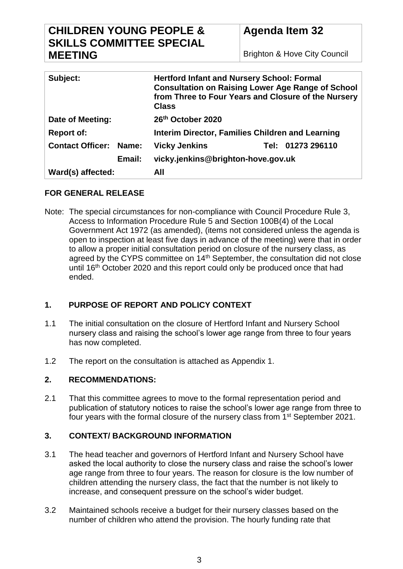# **CHILDREN YOUNG PEOPLE & SKILLS COMMITTEE SPECIAL MEETING**

Brighton & Hove City Council

| Subject:                                | <b>Hertford Infant and Nursery School: Formal</b><br><b>Consultation on Raising Lower Age Range of School</b><br>from Three to Four Years and Closure of the Nursery<br><b>Class</b> |  |
|-----------------------------------------|--------------------------------------------------------------------------------------------------------------------------------------------------------------------------------------|--|
| Date of Meeting:                        | 26th October 2020                                                                                                                                                                    |  |
| <b>Report of:</b>                       | Interim Director, Families Children and Learning                                                                                                                                     |  |
| <b>Contact Officer:</b><br><b>Name:</b> | <b>Vicky Jenkins</b><br>Tel: 01273 296110                                                                                                                                            |  |
| Email:                                  | vicky.jenkins@brighton-hove.gov.uk                                                                                                                                                   |  |
| Ward(s) affected:                       | All                                                                                                                                                                                  |  |

# **FOR GENERAL RELEASE**

Note: The special circumstances for non-compliance with Council Procedure Rule 3, Access to Information Procedure Rule 5 and Section 100B(4) of the Local Government Act 1972 (as amended), (items not considered unless the agenda is open to inspection at least five days in advance of the meeting) were that in order to allow a proper initial consultation period on closure of the nursery class, as agreed by the CYPS committee on 14<sup>th</sup> September, the consultation did not close until 16<sup>th</sup> October 2020 and this report could only be produced once that had ended.

# **1. PURPOSE OF REPORT AND POLICY CONTEXT**

- 1.1 The initial consultation on the closure of Hertford Infant and Nursery School nursery class and raising the school's lower age range from three to four years has now completed.
- 1.2 The report on the consultation is attached as Appendix 1.

# **2. RECOMMENDATIONS:**

2.1 That this committee agrees to move to the formal representation period and publication of statutory notices to raise the school's lower age range from three to four years with the formal closure of the nursery class from 1<sup>st</sup> September 2021.

# **3. CONTEXT/ BACKGROUND INFORMATION**

- 3.1 The head teacher and governors of Hertford Infant and Nursery School have asked the local authority to close the nursery class and raise the school's lower age range from three to four years. The reason for closure is the low number of children attending the nursery class, the fact that the number is not likely to increase, and consequent pressure on the school's wider budget.
- 3.2 Maintained schools receive a budget for their nursery classes based on the number of children who attend the provision. The hourly funding rate that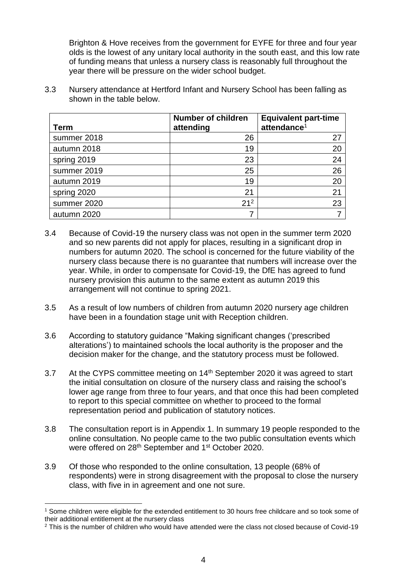Brighton & Hove receives from the government for EYFE for three and four year olds is the lowest of any unitary local authority in the south east, and this low rate of funding means that unless a nursery class is reasonably full throughout the year there will be pressure on the wider school budget.

3.3 Nursery attendance at Hertford Infant and Nursery School has been falling as shown in the table below.

| <b>Term</b> | <b>Number of children</b><br>attending | <b>Equivalent part-time</b><br>attendance <sup>1</sup> |
|-------------|----------------------------------------|--------------------------------------------------------|
| summer 2018 | 26                                     | 27                                                     |
| autumn 2018 | 19                                     | 20                                                     |
| spring 2019 | 23                                     | 24                                                     |
| summer 2019 | 25                                     | 26                                                     |
| autumn 2019 | 19                                     | 20                                                     |
| spring 2020 | 21                                     | 21                                                     |
| summer 2020 | $21^2$                                 | 23                                                     |
| autumn 2020 |                                        |                                                        |

- 3.4 Because of Covid-19 the nursery class was not open in the summer term 2020 and so new parents did not apply for places, resulting in a significant drop in numbers for autumn 2020. The school is concerned for the future viability of the nursery class because there is no guarantee that numbers will increase over the year. While, in order to compensate for Covid-19, the DfE has agreed to fund nursery provision this autumn to the same extent as autumn 2019 this arrangement will not continue to spring 2021.
- 3.5 As a result of low numbers of children from autumn 2020 nursery age children have been in a foundation stage unit with Reception children.
- 3.6 According to statutory guidance "Making significant changes ('prescribed alterations') to maintained schools the local authority is the proposer and the decision maker for the change, and the statutory process must be followed.
- 3.7 At the CYPS committee meeting on 14<sup>th</sup> September 2020 it was agreed to start the initial consultation on closure of the nursery class and raising the school's lower age range from three to four years, and that once this had been completed to report to this special committee on whether to proceed to the formal representation period and publication of statutory notices.
- 3.8 The consultation report is in Appendix 1. In summary 19 people responded to the online consultation. No people came to the two public consultation events which were offered on 28<sup>th</sup> September and 1<sup>st</sup> October 2020.
- 3.9 Of those who responded to the online consultation, 13 people (68% of respondents) were in strong disagreement with the proposal to close the nursery class, with five in in agreement and one not sure.

 $\overline{a}$ <sup>1</sup> Some children were eligible for the extended entitlement to 30 hours free childcare and so took some of their additional entitlement at the nursery class

<sup>&</sup>lt;sup>2</sup> This is the number of children who would have attended were the class not closed because of Covid-19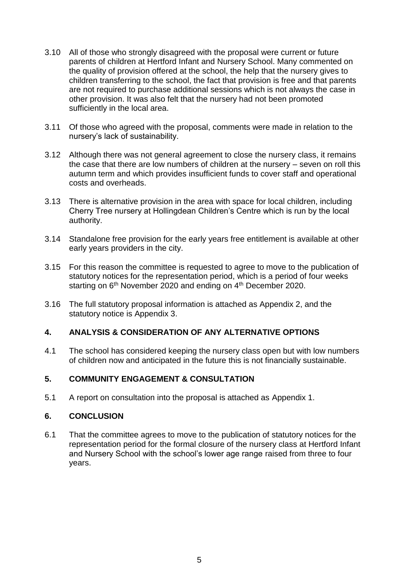- 3.10 All of those who strongly disagreed with the proposal were current or future parents of children at Hertford Infant and Nursery School. Many commented on the quality of provision offered at the school, the help that the nursery gives to children transferring to the school, the fact that provision is free and that parents are not required to purchase additional sessions which is not always the case in other provision. It was also felt that the nursery had not been promoted sufficiently in the local area.
- 3.11 Of those who agreed with the proposal, comments were made in relation to the nursery's lack of sustainability.
- 3.12 Although there was not general agreement to close the nursery class, it remains the case that there are low numbers of children at the nursery – seven on roll this autumn term and which provides insufficient funds to cover staff and operational costs and overheads.
- 3.13 There is alternative provision in the area with space for local children, including Cherry Tree nursery at Hollingdean Children's Centre which is run by the local authority.
- 3.14 Standalone free provision for the early years free entitlement is available at other early years providers in the city.
- 3.15 For this reason the committee is requested to agree to move to the publication of statutory notices for the representation period, which is a period of four weeks starting on 6<sup>th</sup> November 2020 and ending on 4<sup>th</sup> December 2020.
- 3.16 The full statutory proposal information is attached as Appendix 2, and the statutory notice is Appendix 3.

# **4. ANALYSIS & CONSIDERATION OF ANY ALTERNATIVE OPTIONS**

4.1 The school has considered keeping the nursery class open but with low numbers of children now and anticipated in the future this is not financially sustainable.

# **5. COMMUNITY ENGAGEMENT & CONSULTATION**

5.1 A report on consultation into the proposal is attached as Appendix 1.

#### **6. CONCLUSION**

6.1 That the committee agrees to move to the publication of statutory notices for the representation period for the formal closure of the nursery class at Hertford Infant and Nursery School with the school's lower age range raised from three to four years.